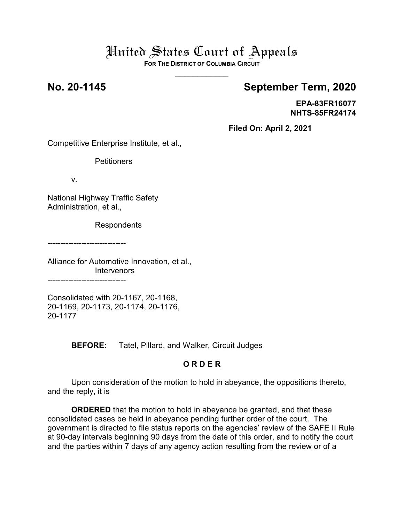# United States Court of Appeals

**FOR THE DISTRICT OF COLUMBIA CIRCUIT**  $\overline{\phantom{a}}$ 

## **No. 20-1145 September Term, 2020**

**EPA-83FR16077 NHTS-85FR24174**

**Filed On: April 2, 2021**

Competitive Enterprise Institute, et al.,

**Petitioners** 

v.

National Highway Traffic Safety Administration, et al.,

Respondents

------------------------------

Alliance for Automotive Innovation, et al., Intervenors ------------------------------

Consolidated with 20-1167, 20-1168, 20-1169, 20-1173, 20-1174, 20-1176, 20-1177

**BEFORE:** Tatel, Pillard, and Walker, Circuit Judges

### **O R D E R**

Upon consideration of the motion to hold in abeyance, the oppositions thereto, and the reply, it is

**ORDERED** that the motion to hold in abeyance be granted, and that these consolidated cases be held in abeyance pending further order of the court. The government is directed to file status reports on the agencies' review of the SAFE II Rule at 90-day intervals beginning 90 days from the date of this order, and to notify the court and the parties within 7 days of any agency action resulting from the review or of a